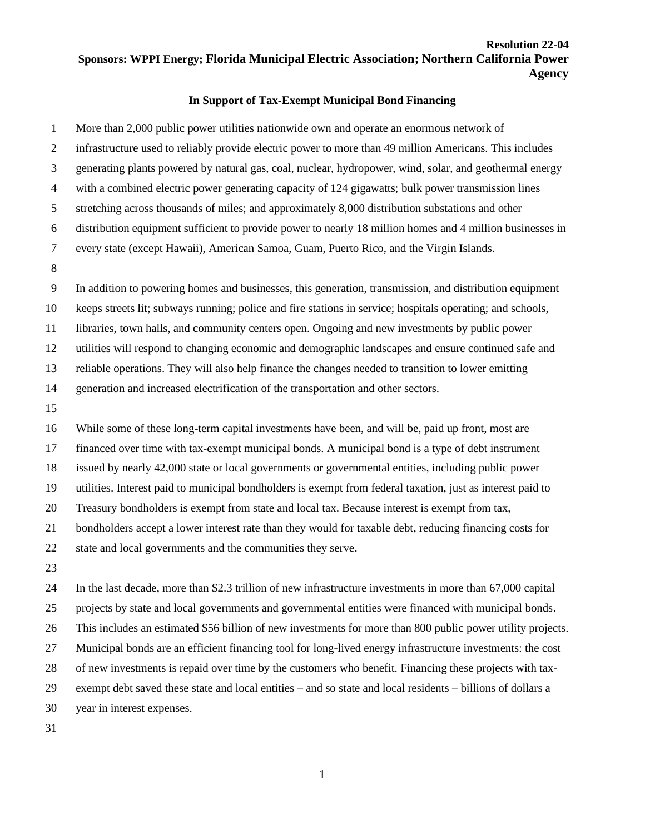## **Resolution 22-04 Sponsors: WPPI Energy; Florida Municipal Electric Association; Northern California Power Agency**

## **In Support of Tax-Exempt Municipal Bond Financing**

 More than 2,000 public power utilities nationwide own and operate an enormous network of infrastructure used to reliably provide electric power to more than 49 million Americans. This includes generating plants powered by natural gas, coal, nuclear, hydropower, wind, solar, and geothermal energy with a combined electric power generating capacity of 124 gigawatts; bulk power transmission lines stretching across thousands of miles; and approximately 8,000 distribution substations and other distribution equipment sufficient to provide power to nearly 18 million homes and 4 million businesses in every state (except Hawaii), American Samoa, Guam, Puerto Rico, and the Virgin Islands. In addition to powering homes and businesses, this generation, transmission, and distribution equipment keeps streets lit; subways running; police and fire stations in service; hospitals operating; and schools, libraries, town halls, and community centers open. Ongoing and new investments by public power utilities will respond to changing economic and demographic landscapes and ensure continued safe and reliable operations. They will also help finance the changes needed to transition to lower emitting generation and increased electrification of the transportation and other sectors. While some of these long-term capital investments have been, and will be, paid up front, most are financed over time with tax-exempt municipal bonds. A municipal bond is a type of debt instrument issued by nearly 42,000 state or local governments or governmental entities, including public power utilities. Interest paid to municipal bondholders is exempt from federal taxation, just as interest paid to Treasury bondholders is exempt from state and local tax. Because interest is exempt from tax, bondholders accept a lower interest rate than they would for taxable debt, reducing financing costs for state and local governments and the communities they serve. In the last decade, more than \$2.3 trillion of new infrastructure investments in more than 67,000 capital projects by state and local governments and governmental entities were financed with municipal bonds.

 This includes an estimated \$56 billion of new investments for more than 800 public power utility projects. Municipal bonds are an efficient financing tool for long-lived energy infrastructure investments: the cost of new investments is repaid over time by the customers who benefit. Financing these projects with tax-exempt debt saved these state and local entities – and so state and local residents – billions of dollars a

year in interest expenses.